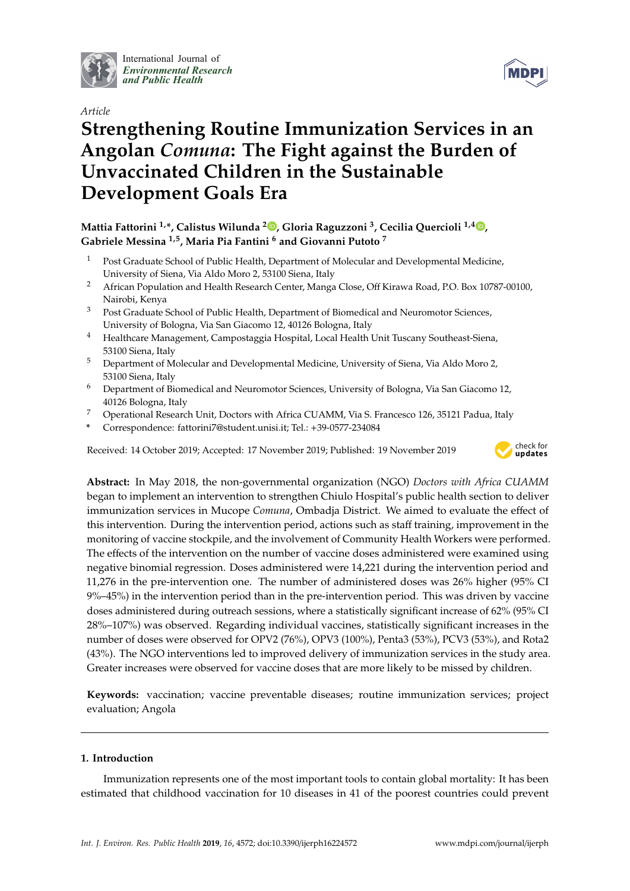

International Journal of *[Environmental Research](http://www.mdpi.com/journal/ijerph) and Public Health*



# *Article* **Strengthening Routine Immunization Services in an Angolan** *Comuna***: The Fight against the Burden of Unvaccinated Children in the Sustainable Development Goals Era**

## **Mattia Fattorini 1,\*, Calistus Wilunda <sup>2</sup> [,](https://orcid.org/0000-0002-6606-6534) Gloria Raguzzoni <sup>3</sup> , Cecilia Quercioli 1,4 [,](https://orcid.org/0000-0002-1560-5630) Gabriele Messina 1,5, Maria Pia Fantini <sup>6</sup> and Giovanni Putoto <sup>7</sup>**

- <sup>1</sup> Post Graduate School of Public Health, Department of Molecular and Developmental Medicine, University of Siena, Via Aldo Moro 2, 53100 Siena, Italy
- <sup>2</sup> African Population and Health Research Center, Manga Close, Off Kirawa Road, P.O. Box 10787-00100, Nairobi, Kenya
- <sup>3</sup> Post Graduate School of Public Health, Department of Biomedical and Neuromotor Sciences, University of Bologna, Via San Giacomo 12, 40126 Bologna, Italy
- <sup>4</sup> Healthcare Management, Campostaggia Hospital, Local Health Unit Tuscany Southeast-Siena, 53100 Siena, Italy
- <sup>5</sup> Department of Molecular and Developmental Medicine, University of Siena, Via Aldo Moro 2, 53100 Siena, Italy
- <sup>6</sup> Department of Biomedical and Neuromotor Sciences, University of Bologna, Via San Giacomo 12, 40126 Bologna, Italy
- <sup>7</sup> Operational Research Unit, Doctors with Africa CUAMM, Via S. Francesco 126, 35121 Padua, Italy
- **\*** Correspondence: fattorini7@student.unisi.it; Tel.: +39-0577-234084

Received: 14 October 2019; Accepted: 17 November 2019; Published: 19 November 2019



**Abstract:** In May 2018, the non-governmental organization (NGO) *Doctors with Africa CUAMM* began to implement an intervention to strengthen Chiulo Hospital's public health section to deliver immunization services in Mucope *Comuna*, Ombadja District. We aimed to evaluate the effect of this intervention. During the intervention period, actions such as staff training, improvement in the monitoring of vaccine stockpile, and the involvement of Community Health Workers were performed. The effects of the intervention on the number of vaccine doses administered were examined using negative binomial regression. Doses administered were 14,221 during the intervention period and 11,276 in the pre-intervention one. The number of administered doses was 26% higher (95% CI 9%–45%) in the intervention period than in the pre-intervention period. This was driven by vaccine doses administered during outreach sessions, where a statistically significant increase of 62% (95% CI 28%–107%) was observed. Regarding individual vaccines, statistically significant increases in the number of doses were observed for OPV2 (76%), OPV3 (100%), Penta3 (53%), PCV3 (53%), and Rota2 (43%). The NGO interventions led to improved delivery of immunization services in the study area. Greater increases were observed for vaccine doses that are more likely to be missed by children.

**Keywords:** vaccination; vaccine preventable diseases; routine immunization services; project evaluation; Angola

#### **1. Introduction**

Immunization represents one of the most important tools to contain global mortality: It has been estimated that childhood vaccination for 10 diseases in 41 of the poorest countries could prevent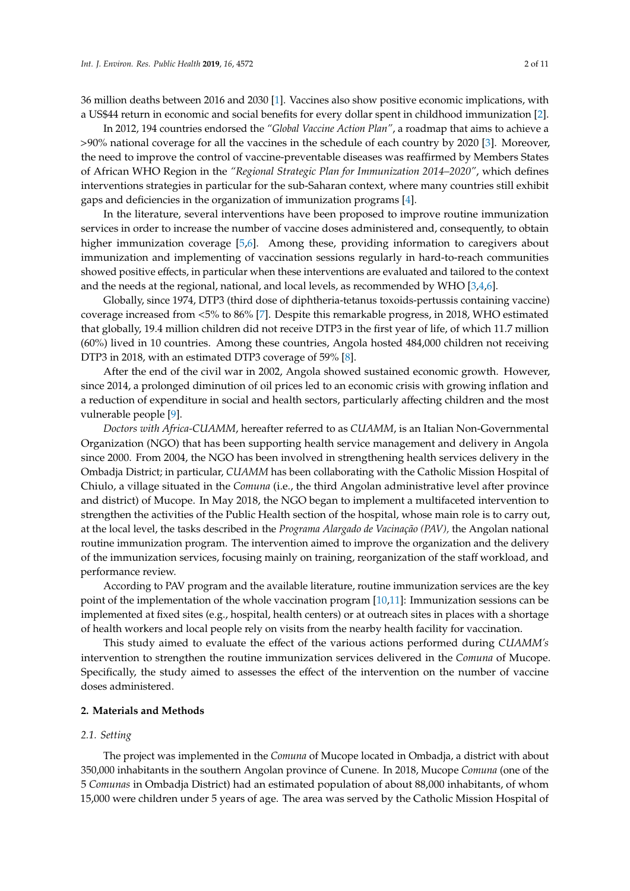36 million deaths between 2016 and 2030 [\[1\]](#page-8-0). Vaccines also show positive economic implications, with a US\$44 return in economic and social benefits for every dollar spent in childhood immunization [\[2\]](#page-8-1).

In 2012, 194 countries endorsed the *"Global Vaccine Action Plan"*, a roadmap that aims to achieve a >90% national coverage for all the vaccines in the schedule of each country by 2020 [\[3\]](#page-8-2). Moreover, the need to improve the control of vaccine-preventable diseases was reaffirmed by Members States of African WHO Region in the *"Regional Strategic Plan for Immunization 2014–2020"*, which defines interventions strategies in particular for the sub-Saharan context, where many countries still exhibit gaps and deficiencies in the organization of immunization programs [\[4\]](#page-8-3).

In the literature, several interventions have been proposed to improve routine immunization services in order to increase the number of vaccine doses administered and, consequently, to obtain higher immunization coverage [\[5](#page-8-4)[,6\]](#page-8-5). Among these, providing information to caregivers about immunization and implementing of vaccination sessions regularly in hard-to-reach communities showed positive effects, in particular when these interventions are evaluated and tailored to the context and the needs at the regional, national, and local levels, as recommended by WHO  $[3,4,6]$  $[3,4,6]$  $[3,4,6]$ .

Globally, since 1974, DTP3 (third dose of diphtheria-tetanus toxoids-pertussis containing vaccine) coverage increased from <5% to 86% [\[7\]](#page-9-0). Despite this remarkable progress, in 2018, WHO estimated that globally, 19.4 million children did not receive DTP3 in the first year of life, of which 11.7 million (60%) lived in 10 countries. Among these countries, Angola hosted 484,000 children not receiving DTP3 in 2018, with an estimated DTP3 coverage of 59% [\[8\]](#page-9-1).

After the end of the civil war in 2002, Angola showed sustained economic growth. However, since 2014, a prolonged diminution of oil prices led to an economic crisis with growing inflation and a reduction of expenditure in social and health sectors, particularly affecting children and the most vulnerable people [\[9\]](#page-9-2).

*Doctors with Africa-CUAMM*, hereafter referred to as *CUAMM*, is an Italian Non-Governmental Organization (NGO) that has been supporting health service management and delivery in Angola since 2000. From 2004, the NGO has been involved in strengthening health services delivery in the Ombadja District; in particular, *CUAMM* has been collaborating with the Catholic Mission Hospital of Chiulo, a village situated in the *Comuna* (i.e., the third Angolan administrative level after province and district) of Mucope. In May 2018, the NGO began to implement a multifaceted intervention to strengthen the activities of the Public Health section of the hospital, whose main role is to carry out, at the local level, the tasks described in the *Programa Alargado de Vacinação (PAV),* the Angolan national routine immunization program. The intervention aimed to improve the organization and the delivery of the immunization services, focusing mainly on training, reorganization of the staff workload, and performance review.

According to PAV program and the available literature, routine immunization services are the key point of the implementation of the whole vaccination program [\[10](#page-9-3)[,11\]](#page-9-4): Immunization sessions can be implemented at fixed sites (e.g., hospital, health centers) or at outreach sites in places with a shortage of health workers and local people rely on visits from the nearby health facility for vaccination.

This study aimed to evaluate the effect of the various actions performed during *CUAMM's* intervention to strengthen the routine immunization services delivered in the *Comuna* of Mucope. Specifically, the study aimed to assesses the effect of the intervention on the number of vaccine doses administered.

#### **2. Materials and Methods**

#### *2.1. Setting*

The project was implemented in the *Comuna* of Mucope located in Ombadja, a district with about 350,000 inhabitants in the southern Angolan province of Cunene. In 2018, Mucope *Comuna* (one of the 5 *Comunas* in Ombadja District) had an estimated population of about 88,000 inhabitants, of whom 15,000 were children under 5 years of age. The area was served by the Catholic Mission Hospital of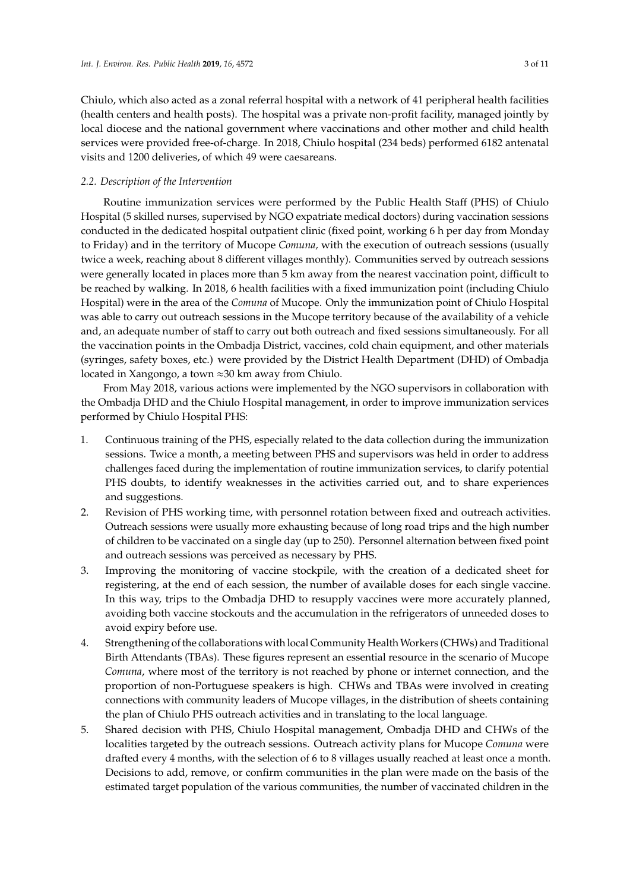Chiulo, which also acted as a zonal referral hospital with a network of 41 peripheral health facilities (health centers and health posts). The hospital was a private non-profit facility, managed jointly by local diocese and the national government where vaccinations and other mother and child health services were provided free-of-charge. In 2018, Chiulo hospital (234 beds) performed 6182 antenatal visits and 1200 deliveries, of which 49 were caesareans.

#### *2.2. Description of the Intervention*

Routine immunization services were performed by the Public Health Staff (PHS) of Chiulo Hospital (5 skilled nurses, supervised by NGO expatriate medical doctors) during vaccination sessions conducted in the dedicated hospital outpatient clinic (fixed point, working 6 h per day from Monday to Friday) and in the territory of Mucope *Comuna,* with the execution of outreach sessions (usually twice a week, reaching about 8 different villages monthly). Communities served by outreach sessions were generally located in places more than 5 km away from the nearest vaccination point, difficult to be reached by walking. In 2018, 6 health facilities with a fixed immunization point (including Chiulo Hospital) were in the area of the *Comuna* of Mucope. Only the immunization point of Chiulo Hospital was able to carry out outreach sessions in the Mucope territory because of the availability of a vehicle and, an adequate number of staff to carry out both outreach and fixed sessions simultaneously. For all the vaccination points in the Ombadja District, vaccines, cold chain equipment, and other materials (syringes, safety boxes, etc.) were provided by the District Health Department (DHD) of Ombadja located in Xangongo, a town ≈30 km away from Chiulo.

From May 2018, various actions were implemented by the NGO supervisors in collaboration with the Ombadja DHD and the Chiulo Hospital management, in order to improve immunization services performed by Chiulo Hospital PHS:

- 1. Continuous training of the PHS, especially related to the data collection during the immunization sessions. Twice a month, a meeting between PHS and supervisors was held in order to address challenges faced during the implementation of routine immunization services, to clarify potential PHS doubts, to identify weaknesses in the activities carried out, and to share experiences and suggestions.
- 2. Revision of PHS working time, with personnel rotation between fixed and outreach activities. Outreach sessions were usually more exhausting because of long road trips and the high number of children to be vaccinated on a single day (up to 250). Personnel alternation between fixed point and outreach sessions was perceived as necessary by PHS.
- 3. Improving the monitoring of vaccine stockpile, with the creation of a dedicated sheet for registering, at the end of each session, the number of available doses for each single vaccine. In this way, trips to the Ombadja DHD to resupply vaccines were more accurately planned, avoiding both vaccine stockouts and the accumulation in the refrigerators of unneeded doses to avoid expiry before use.
- 4. Strengthening of the collaborations with local Community HealthWorkers (CHWs) and Traditional Birth Attendants (TBAs). These figures represent an essential resource in the scenario of Mucope *Comuna*, where most of the territory is not reached by phone or internet connection, and the proportion of non-Portuguese speakers is high. CHWs and TBAs were involved in creating connections with community leaders of Mucope villages, in the distribution of sheets containing the plan of Chiulo PHS outreach activities and in translating to the local language.
- 5. Shared decision with PHS, Chiulo Hospital management, Ombadja DHD and CHWs of the localities targeted by the outreach sessions. Outreach activity plans for Mucope *Comuna* were drafted every 4 months, with the selection of 6 to 8 villages usually reached at least once a month. Decisions to add, remove, or confirm communities in the plan were made on the basis of the estimated target population of the various communities, the number of vaccinated children in the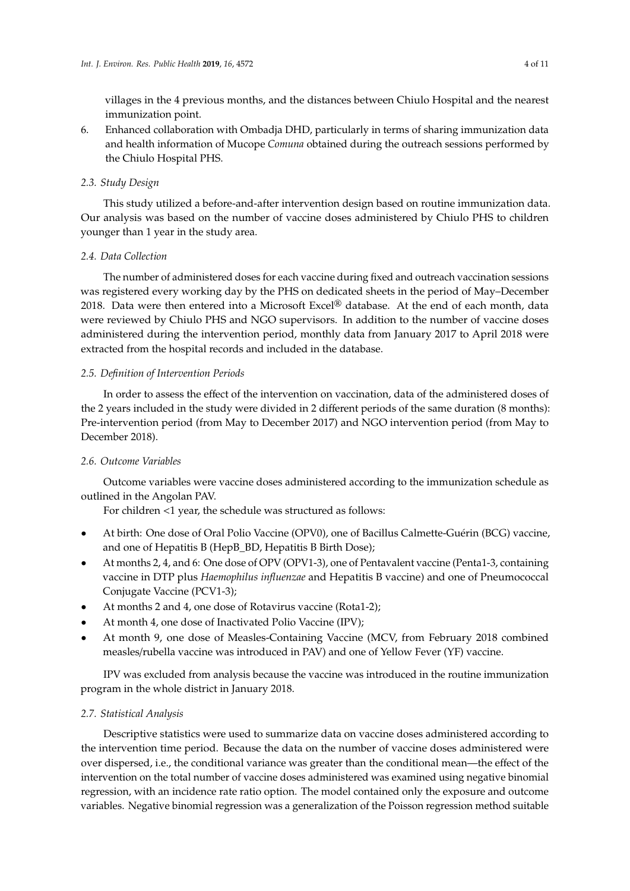villages in the 4 previous months, and the distances between Chiulo Hospital and the nearest immunization point.

6. Enhanced collaboration with Ombadja DHD, particularly in terms of sharing immunization data and health information of Mucope *Comuna* obtained during the outreach sessions performed by the Chiulo Hospital PHS.

### *2.3. Study Design*

This study utilized a before-and-after intervention design based on routine immunization data. Our analysis was based on the number of vaccine doses administered by Chiulo PHS to children younger than 1 year in the study area.

## *2.4. Data Collection*

The number of administered doses for each vaccine during fixed and outreach vaccination sessions was registered every working day by the PHS on dedicated sheets in the period of May–December 2018. Data were then entered into a Microsoft Excel $^{\circledR}$  database. At the end of each month, data were reviewed by Chiulo PHS and NGO supervisors. In addition to the number of vaccine doses administered during the intervention period, monthly data from January 2017 to April 2018 were extracted from the hospital records and included in the database.

## *2.5. Definition of Intervention Periods*

In order to assess the effect of the intervention on vaccination, data of the administered doses of the 2 years included in the study were divided in 2 different periods of the same duration (8 months): Pre-intervention period (from May to December 2017) and NGO intervention period (from May to December 2018).

## *2.6. Outcome Variables*

Outcome variables were vaccine doses administered according to the immunization schedule as outlined in the Angolan PAV.

For children <1 year, the schedule was structured as follows:

- At birth: One dose of Oral Polio Vaccine (OPV0), one of Bacillus Calmette-Guérin (BCG) vaccine, and one of Hepatitis B (HepB\_BD, Hepatitis B Birth Dose);
- At months 2, 4, and 6: One dose of OPV (OPV1-3), one of Pentavalent vaccine (Penta1-3, containing vaccine in DTP plus *Haemophilus influenzae* and Hepatitis B vaccine) and one of Pneumococcal Conjugate Vaccine (PCV1-3);
- At months 2 and 4, one dose of Rotavirus vaccine (Rota1-2);
- At month 4, one dose of Inactivated Polio Vaccine (IPV);
- At month 9, one dose of Measles-Containing Vaccine (MCV, from February 2018 combined measles/rubella vaccine was introduced in PAV) and one of Yellow Fever (YF) vaccine.

IPV was excluded from analysis because the vaccine was introduced in the routine immunization program in the whole district in January 2018.

## *2.7. Statistical Analysis*

Descriptive statistics were used to summarize data on vaccine doses administered according to the intervention time period. Because the data on the number of vaccine doses administered were over dispersed, i.e., the conditional variance was greater than the conditional mean—the effect of the intervention on the total number of vaccine doses administered was examined using negative binomial regression, with an incidence rate ratio option. The model contained only the exposure and outcome variables. Negative binomial regression was a generalization of the Poisson regression method suitable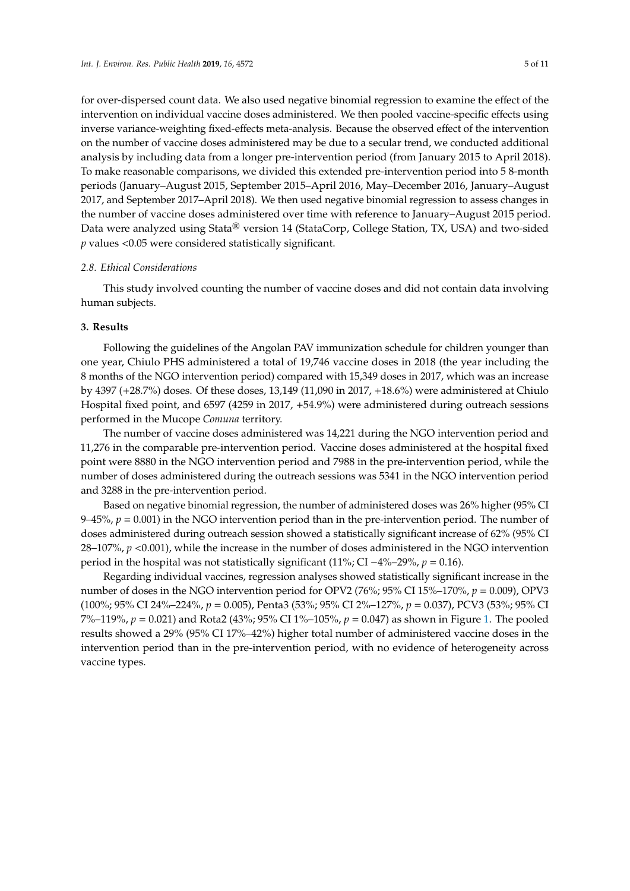for over-dispersed count data. We also used negative binomial regression to examine the effect of the intervention on individual vaccine doses administered. We then pooled vaccine-specific effects using inverse variance-weighting fixed-effects meta-analysis. Because the observed effect of the intervention on the number of vaccine doses administered may be due to a secular trend, we conducted additional analysis by including data from a longer pre-intervention period (from January 2015 to April 2018). To make reasonable comparisons, we divided this extended pre-intervention period into 5 8-month periods (January–August 2015, September 2015–April 2016, May–December 2016, January–August 2017, and September 2017–April 2018). We then used negative binomial regression to assess changes in the number of vaccine doses administered over time with reference to January–August 2015 period. Data were analyzed using Stata® version 14 (StataCorp, College Station, TX, USA) and two-sided *p* values <0.05 were considered statistically significant.

#### *2.8. Ethical Considerations*

This study involved counting the number of vaccine doses and did not contain data involving human subjects.

#### **3. Results**

Following the guidelines of the Angolan PAV immunization schedule for children younger than one year, Chiulo PHS administered a total of 19,746 vaccine doses in 2018 (the year including the 8 months of the NGO intervention period) compared with 15,349 doses in 2017, which was an increase by 4397 (+28.7%) doses. Of these doses, 13,149 (11,090 in 2017, +18.6%) were administered at Chiulo Hospital fixed point, and 6597 (4259 in 2017, +54.9%) were administered during outreach sessions performed in the Mucope *Comuna* territory.

The number of vaccine doses administered was 14,221 during the NGO intervention period and 11,276 in the comparable pre-intervention period. Vaccine doses administered at the hospital fixed point were 8880 in the NGO intervention period and 7988 in the pre-intervention period, while the number of doses administered during the outreach sessions was 5341 in the NGO intervention period and 3288 in the pre-intervention period.

Based on negative binomial regression, the number of administered doses was 26% higher (95% CI 9–45%, *p* = 0.001) in the NGO intervention period than in the pre-intervention period. The number of doses administered during outreach session showed a statistically significant increase of 62% (95% CI 28–107%, *p* <0.001), while the increase in the number of doses administered in the NGO intervention period in the hospital was not statistically significant (11%; CI −4%–29%, *p* = 0.16).

Regarding individual vaccines, regression analyses showed statistically significant increase in the number of doses in the NGO intervention period for OPV2 (76%; 95% CI 15%–170%, *p* = 0.009), OPV3 (100%; 95% CI 24%–224%, *p* = 0.005), Penta3 (53%; 95% CI 2%–127%, *p* = 0.037), PCV3 (53%; 95% CI 7%–119%, *p* = 0.021) and Rota2 (43%; 95% CI 1%–105%, *p* = 0.047) as shown in Figure [1.](#page-5-0) The pooled results showed a 29% (95% CI 17%–42%) higher total number of administered vaccine doses in the intervention period than in the pre-intervention period, with no evidence of heterogeneity across vaccine types.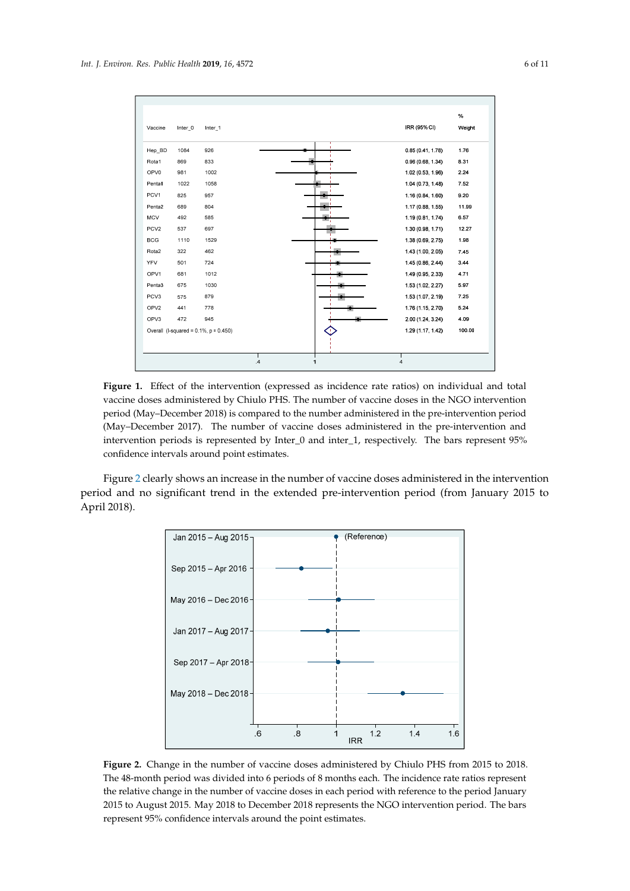<span id="page-5-0"></span>

Figure 1. Effect of the intervention (expressed as incidence rate ratios) on individual and total doses administered by Chiulo PHS. The number of vaccine doses in the NGO intervention period vaccine doses administered by Chiulo PHS. The number of vaccine doses in the NGO intervention period (May–December 2018) is compared to the number administered in the pre-intervention period (May–December 2017). The number of vaccine doses administered in the pre-intervention and intervention periods is represented by Inter\_0 and inter\_1, respectively. The bars represent 95% confidence intervals around point estimates.

<span id="page-5-1"></span>Figure 2 clearly shows an increase in the number of vaccine doses administered in the intervention period and no significant trend in the extended pre-intervention period (from January 2015 to April 2018). *Int. J. Environ. Res. Public Health* **2019**, *16*, x FOR PEER REVIEW 7 of 11



**Figure 2.** Change in the number of vaccine doses administered by Chiulo PHS from 2015 to 2018. The **Figure 2.** Change in the number of vaccine doses administered by Chiulo PHS from 2015 to 2018. The 48-month period was divided into 6 periods of 8 months each. The incidence rate ratios represent relative change in the number of vaccine doses in each period with reference to the period January 2015 to August 2015. May 2018 to December 2018 represents the NGO intervention period. The bars the relative change in the number of vaccine doses in each period with reference to the period January 2015 to August 2015. May 2018 to December 2018 represents the NGO intervention period. The bars represent 95% confidence intervals around the point estimates.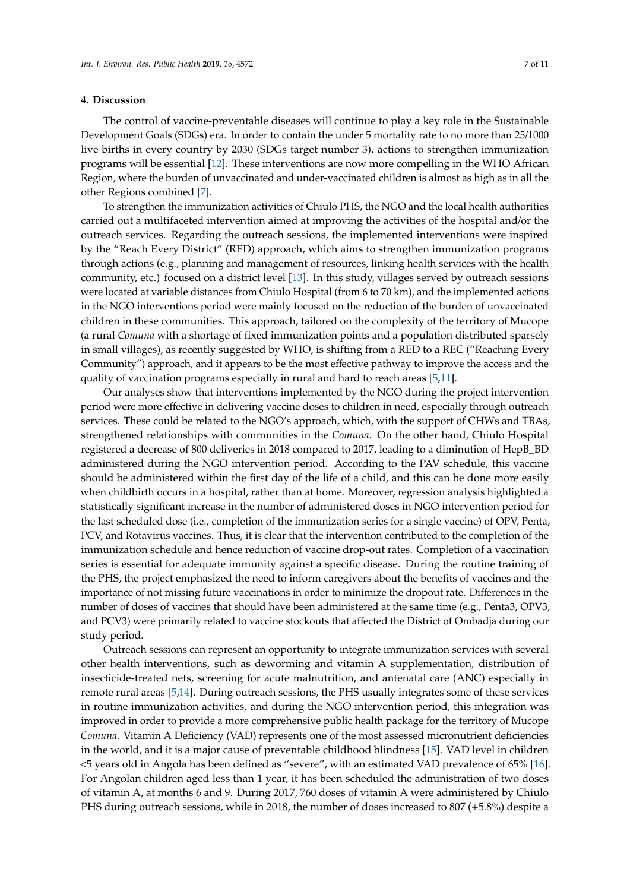#### **4. Discussion**

The control of vaccine-preventable diseases will continue to play a key role in the Sustainable Development Goals (SDGs) era. In order to contain the under 5 mortality rate to no more than 25/1000 live births in every country by 2030 (SDGs target number 3), actions to strengthen immunization programs will be essential [\[12\]](#page-9-5). These interventions are now more compelling in the WHO African Region, where the burden of unvaccinated and under-vaccinated children is almost as high as in all the other Regions combined [\[7\]](#page-9-0).

To strengthen the immunization activities of Chiulo PHS, the NGO and the local health authorities carried out a multifaceted intervention aimed at improving the activities of the hospital and/or the outreach services. Regarding the outreach sessions, the implemented interventions were inspired by the "Reach Every District" (RED) approach, which aims to strengthen immunization programs through actions (e.g., planning and management of resources, linking health services with the health community, etc.) focused on a district level [\[13\]](#page-9-6). In this study, villages served by outreach sessions were located at variable distances from Chiulo Hospital (from 6 to 70 km), and the implemented actions in the NGO interventions period were mainly focused on the reduction of the burden of unvaccinated children in these communities. This approach, tailored on the complexity of the territory of Mucope (a rural *Comuna* with a shortage of fixed immunization points and a population distributed sparsely in small villages), as recently suggested by WHO, is shifting from a RED to a REC ("Reaching Every Community") approach, and it appears to be the most effective pathway to improve the access and the quality of vaccination programs especially in rural and hard to reach areas [\[5](#page-8-4)[,11\]](#page-9-4).

Our analyses show that interventions implemented by the NGO during the project intervention period were more effective in delivering vaccine doses to children in need, especially through outreach services. These could be related to the NGO's approach, which, with the support of CHWs and TBAs, strengthened relationships with communities in the *Comuna*. On the other hand, Chiulo Hospital registered a decrease of 800 deliveries in 2018 compared to 2017, leading to a diminution of HepB\_BD administered during the NGO intervention period. According to the PAV schedule, this vaccine should be administered within the first day of the life of a child, and this can be done more easily when childbirth occurs in a hospital, rather than at home. Moreover, regression analysis highlighted a statistically significant increase in the number of administered doses in NGO intervention period for the last scheduled dose (i.e., completion of the immunization series for a single vaccine) of OPV, Penta, PCV, and Rotavirus vaccines. Thus, it is clear that the intervention contributed to the completion of the immunization schedule and hence reduction of vaccine drop-out rates. Completion of a vaccination series is essential for adequate immunity against a specific disease. During the routine training of the PHS, the project emphasized the need to inform caregivers about the benefits of vaccines and the importance of not missing future vaccinations in order to minimize the dropout rate. Differences in the number of doses of vaccines that should have been administered at the same time (e.g., Penta3, OPV3, and PCV3) were primarily related to vaccine stockouts that affected the District of Ombadja during our study period.

Outreach sessions can represent an opportunity to integrate immunization services with several other health interventions, such as deworming and vitamin A supplementation, distribution of insecticide-treated nets, screening for acute malnutrition, and antenatal care (ANC) especially in remote rural areas [\[5](#page-8-4)[,14\]](#page-9-7). During outreach sessions, the PHS usually integrates some of these services in routine immunization activities, and during the NGO intervention period, this integration was improved in order to provide a more comprehensive public health package for the territory of Mucope *Comuna*. Vitamin A Deficiency (VAD) represents one of the most assessed micronutrient deficiencies in the world, and it is a major cause of preventable childhood blindness [\[15\]](#page-9-8). VAD level in children <5 years old in Angola has been defined as "severe", with an estimated VAD prevalence of 65% [\[16\]](#page-9-9). For Angolan children aged less than 1 year, it has been scheduled the administration of two doses of vitamin A, at months 6 and 9. During 2017, 760 doses of vitamin A were administered by Chiulo PHS during outreach sessions, while in 2018, the number of doses increased to 807 (+5.8%) despite a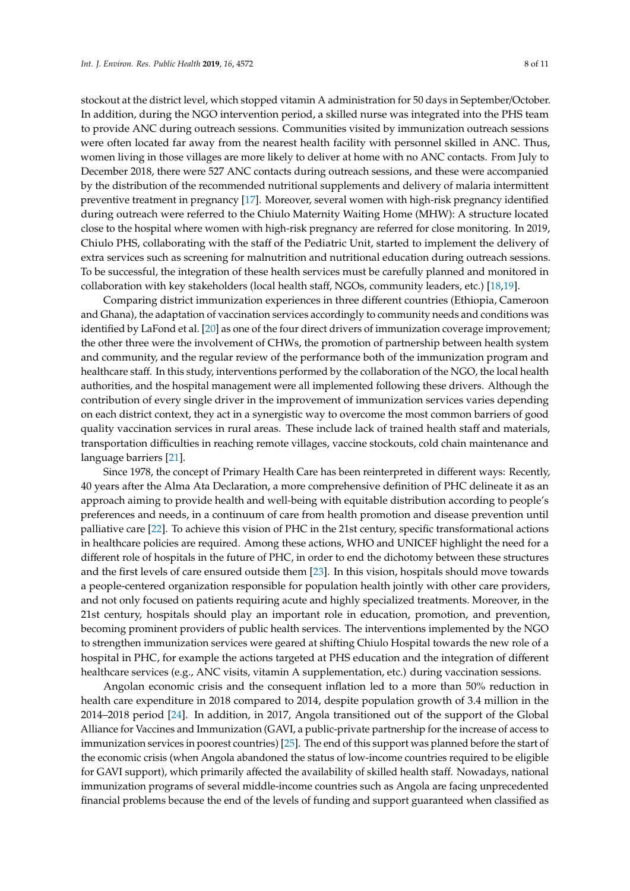stockout at the district level, which stopped vitamin A administration for 50 days in September/October. In addition, during the NGO intervention period, a skilled nurse was integrated into the PHS team to provide ANC during outreach sessions. Communities visited by immunization outreach sessions were often located far away from the nearest health facility with personnel skilled in ANC. Thus, women living in those villages are more likely to deliver at home with no ANC contacts. From July to December 2018, there were 527 ANC contacts during outreach sessions, and these were accompanied by the distribution of the recommended nutritional supplements and delivery of malaria intermittent preventive treatment in pregnancy [\[17\]](#page-9-10). Moreover, several women with high-risk pregnancy identified during outreach were referred to the Chiulo Maternity Waiting Home (MHW): A structure located close to the hospital where women with high-risk pregnancy are referred for close monitoring. In 2019, Chiulo PHS, collaborating with the staff of the Pediatric Unit, started to implement the delivery of extra services such as screening for malnutrition and nutritional education during outreach sessions. To be successful, the integration of these health services must be carefully planned and monitored in collaboration with key stakeholders (local health staff, NGOs, community leaders, etc.) [\[18](#page-9-11)[,19\]](#page-9-12).

Comparing district immunization experiences in three different countries (Ethiopia, Cameroon and Ghana), the adaptation of vaccination services accordingly to community needs and conditions was identified by LaFond et al. [\[20\]](#page-9-13) as one of the four direct drivers of immunization coverage improvement; the other three were the involvement of CHWs, the promotion of partnership between health system and community, and the regular review of the performance both of the immunization program and healthcare staff. In this study, interventions performed by the collaboration of the NGO, the local health authorities, and the hospital management were all implemented following these drivers. Although the contribution of every single driver in the improvement of immunization services varies depending on each district context, they act in a synergistic way to overcome the most common barriers of good quality vaccination services in rural areas. These include lack of trained health staff and materials, transportation difficulties in reaching remote villages, vaccine stockouts, cold chain maintenance and language barriers [\[21\]](#page-9-14).

Since 1978, the concept of Primary Health Care has been reinterpreted in different ways: Recently, 40 years after the Alma Ata Declaration, a more comprehensive definition of PHC delineate it as an approach aiming to provide health and well-being with equitable distribution according to people's preferences and needs, in a continuum of care from health promotion and disease prevention until palliative care [\[22\]](#page-10-0). To achieve this vision of PHC in the 21st century, specific transformational actions in healthcare policies are required. Among these actions, WHO and UNICEF highlight the need for a different role of hospitals in the future of PHC, in order to end the dichotomy between these structures and the first levels of care ensured outside them [\[23\]](#page-10-1). In this vision, hospitals should move towards a people-centered organization responsible for population health jointly with other care providers, and not only focused on patients requiring acute and highly specialized treatments. Moreover, in the 21st century, hospitals should play an important role in education, promotion, and prevention, becoming prominent providers of public health services. The interventions implemented by the NGO to strengthen immunization services were geared at shifting Chiulo Hospital towards the new role of a hospital in PHC, for example the actions targeted at PHS education and the integration of different healthcare services (e.g., ANC visits, vitamin A supplementation, etc.) during vaccination sessions.

Angolan economic crisis and the consequent inflation led to a more than 50% reduction in health care expenditure in 2018 compared to 2014, despite population growth of 3.4 million in the 2014–2018 period [\[24\]](#page-10-2). In addition, in 2017, Angola transitioned out of the support of the Global Alliance for Vaccines and Immunization (GAVI, a public-private partnership for the increase of access to immunization services in poorest countries) [\[25\]](#page-10-3). The end of this support was planned before the start of the economic crisis (when Angola abandoned the status of low-income countries required to be eligible for GAVI support), which primarily affected the availability of skilled health staff. Nowadays, national immunization programs of several middle-income countries such as Angola are facing unprecedented financial problems because the end of the levels of funding and support guaranteed when classified as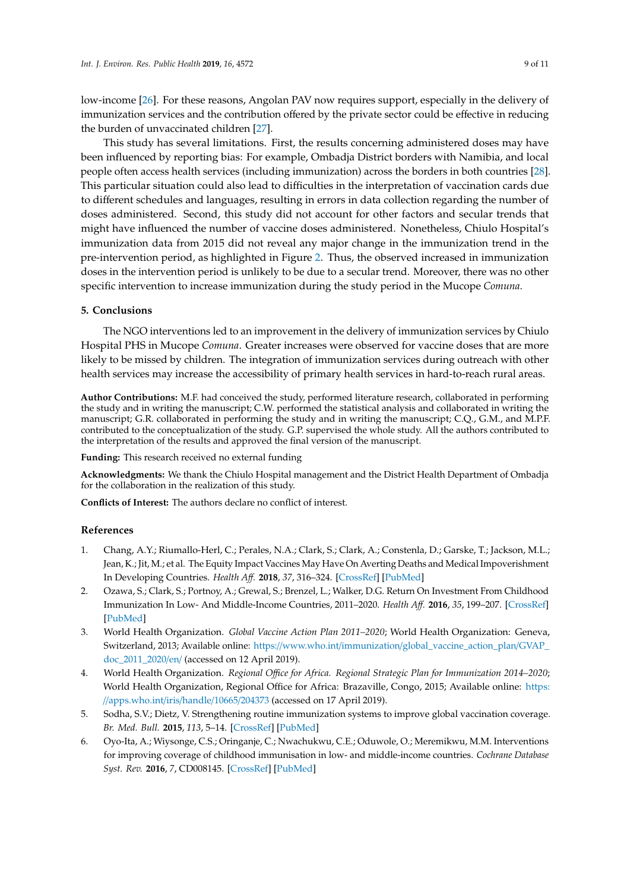low-income [\[26\]](#page-10-4). For these reasons, Angolan PAV now requires support, especially in the delivery of immunization services and the contribution offered by the private sector could be effective in reducing the burden of unvaccinated children [\[27\]](#page-10-5).

This study has several limitations. First, the results concerning administered doses may have been influenced by reporting bias: For example, Ombadja District borders with Namibia, and local people often access health services (including immunization) across the borders in both countries [\[28\]](#page-10-6). This particular situation could also lead to difficulties in the interpretation of vaccination cards due to different schedules and languages, resulting in errors in data collection regarding the number of doses administered. Second, this study did not account for other factors and secular trends that might have influenced the number of vaccine doses administered. Nonetheless, Chiulo Hospital's immunization data from 2015 did not reveal any major change in the immunization trend in the pre-intervention period, as highlighted in Figure [2.](#page-5-1) Thus, the observed increased in immunization doses in the intervention period is unlikely to be due to a secular trend. Moreover, there was no other specific intervention to increase immunization during the study period in the Mucope *Comuna*.

#### **5. Conclusions**

The NGO interventions led to an improvement in the delivery of immunization services by Chiulo Hospital PHS in Mucope *Comuna*. Greater increases were observed for vaccine doses that are more likely to be missed by children. The integration of immunization services during outreach with other health services may increase the accessibility of primary health services in hard-to-reach rural areas.

**Author Contributions:** M.F. had conceived the study, performed literature research, collaborated in performing the study and in writing the manuscript; C.W. performed the statistical analysis and collaborated in writing the manuscript; G.R. collaborated in performing the study and in writing the manuscript; C.Q., G.M., and M.P.F. contributed to the conceptualization of the study. G.P. supervised the whole study. All the authors contributed to the interpretation of the results and approved the final version of the manuscript.

**Funding:** This research received no external funding

**Acknowledgments:** We thank the Chiulo Hospital management and the District Health Department of Ombadja for the collaboration in the realization of this study.

**Conflicts of Interest:** The authors declare no conflict of interest.

### **References**

- <span id="page-8-0"></span>1. Chang, A.Y.; Riumallo-Herl, C.; Perales, N.A.; Clark, S.; Clark, A.; Constenla, D.; Garske, T.; Jackson, M.L.; Jean, K.; Jit, M.; et al. The Equity Impact Vaccines May Have On Averting Deaths and Medical Impoverishment In Developing Countries. *Health A*ff*.* **2018**, *37*, 316–324. [\[CrossRef\]](http://dx.doi.org/10.1377/hlthaff.2017.0861) [\[PubMed\]](http://www.ncbi.nlm.nih.gov/pubmed/29401021)
- <span id="page-8-1"></span>2. Ozawa, S.; Clark, S.; Portnoy, A.; Grewal, S.; Brenzel, L.; Walker, D.G. Return On Investment From Childhood Immunization In Low- And Middle-Income Countries, 2011–2020. *Health A*ff*.* **2016**, *35*, 199–207. [\[CrossRef\]](http://dx.doi.org/10.1377/hlthaff.2015.1086) [\[PubMed\]](http://www.ncbi.nlm.nih.gov/pubmed/26858370)
- <span id="page-8-2"></span>3. World Health Organization. *Global Vaccine Action Plan 2011–2020*; World Health Organization: Geneva, Switzerland, 2013; Available online: https://www.who.int/immunization/[global\\_vaccine\\_action\\_plan](https://www.who.int/immunization/global_vaccine_action_plan/GVAP_doc_2011_2020/en/)/GVAP\_ [doc\\_2011\\_2020](https://www.who.int/immunization/global_vaccine_action_plan/GVAP_doc_2011_2020/en/)/en/ (accessed on 12 April 2019).
- <span id="page-8-3"></span>4. World Health Organization. *Regional O*ffi*ce for Africa. Regional Strategic Plan for Immunization 2014–2020*; World Health Organization, Regional Office for Africa: Brazaville, Congo, 2015; Available online: [https:](https://apps.who.int/iris/handle/10665/204373) //[apps.who.int](https://apps.who.int/iris/handle/10665/204373)/iris/handle/10665/204373 (accessed on 17 April 2019).
- <span id="page-8-4"></span>5. Sodha, S.V.; Dietz, V. Strengthening routine immunization systems to improve global vaccination coverage. *Br. Med. Bull.* **2015**, *113*, 5–14. [\[CrossRef\]](http://dx.doi.org/10.1093/bmb/ldv001) [\[PubMed\]](http://www.ncbi.nlm.nih.gov/pubmed/25649959)
- <span id="page-8-5"></span>6. Oyo-Ita, A.; Wiysonge, C.S.; Oringanje, C.; Nwachukwu, C.E.; Oduwole, O.; Meremikwu, M.M. Interventions for improving coverage of childhood immunisation in low- and middle-income countries. *Cochrane Database Syst. Rev.* **2016**, *7*, CD008145. [\[CrossRef\]](http://dx.doi.org/10.1002/14651858.CD008145.pub3) [\[PubMed\]](http://www.ncbi.nlm.nih.gov/pubmed/27394698)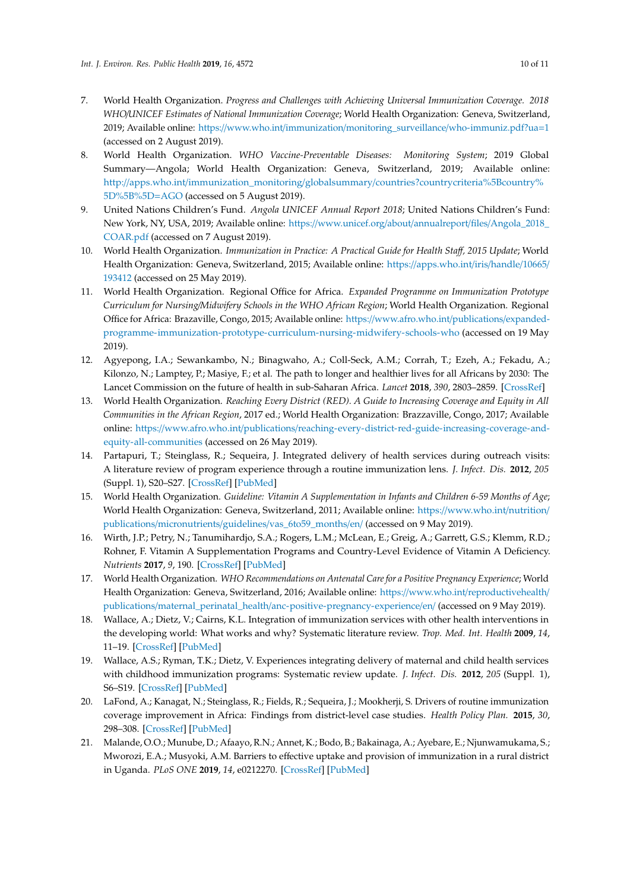- <span id="page-9-0"></span>7. World Health Organization. *Progress and Challenges with Achieving Universal Immunization Coverage. 2018 WHO*/*UNICEF Estimates of National Immunization Coverage*; World Health Organization: Geneva, Switzerland, 2019; Available online: https://www.who.int/immunization/[monitoring\\_surveillance](https://www.who.int/immunization/monitoring_surveillance/who-immuniz.pdf?ua=1)/who-immuniz.pdf?ua=1 (accessed on 2 August 2019).
- <span id="page-9-1"></span>8. World Health Organization. *WHO Vaccine-Preventable Diseases: Monitoring System*; 2019 Global Summary—Angola; World Health Organization: Geneva, Switzerland, 2019; Available online: http://apps.who.int/immunization\_monitoring/globalsummary/[countries?countrycriteria%5Bcountry%](http://apps.who.int/immunization_monitoring/globalsummary/countries?countrycriteria%5Bcountry%5D%5B%5D=AGO) [5D%5B%5D](http://apps.who.int/immunization_monitoring/globalsummary/countries?countrycriteria%5Bcountry%5D%5B%5D=AGO)=AGO (accessed on 5 August 2019).
- <span id="page-9-2"></span>9. United Nations Children's Fund. *Angola UNICEF Annual Report 2018*; United Nations Children's Fund: New York, NY, USA, 2019; Available online: https://[www.unicef.org](https://www.unicef.org/about/annualreport/files/Angola_2018_COAR.pdf)/about/annualreport/files/Angola\_2018\_ [COAR.pdf](https://www.unicef.org/about/annualreport/files/Angola_2018_COAR.pdf) (accessed on 7 August 2019).
- <span id="page-9-3"></span>10. World Health Organization. *Immunization in Practice: A Practical Guide for Health Sta*ff*, 2015 Update*; World Health Organization: Geneva, Switzerland, 2015; Available online: https://[apps.who.int](https://apps.who.int/iris/handle/10665/193412)/iris/handle/10665/ [193412](https://apps.who.int/iris/handle/10665/193412) (accessed on 25 May 2019).
- <span id="page-9-4"></span>11. World Health Organization. Regional Office for Africa. *Expanded Programme on Immunization Prototype Curriculum for Nursing*/*Midwifery Schools in the WHO African Region*; World Health Organization. Regional Office for Africa: Brazaville, Congo, 2015; Available online: https://[www.afro.who.int](https://www.afro.who.int/publications/expanded-programme-immunization-prototype-curriculum-nursing-midwifery-schools-who)/publications/expanded[programme-immunization-prototype-curriculum-nursing-midwifery-schools-who](https://www.afro.who.int/publications/expanded-programme-immunization-prototype-curriculum-nursing-midwifery-schools-who) (accessed on 19 May 2019).
- <span id="page-9-5"></span>12. Agyepong, I.A.; Sewankambo, N.; Binagwaho, A.; Coll-Seck, A.M.; Corrah, T.; Ezeh, A.; Fekadu, A.; Kilonzo, N.; Lamptey, P.; Masiye, F.; et al. The path to longer and healthier lives for all Africans by 2030: The Lancet Commission on the future of health in sub-Saharan Africa. *Lancet* **2018**, *390*, 2803–2859. [\[CrossRef\]](http://dx.doi.org/10.1016/S0140-6736(17)31509-X)
- <span id="page-9-6"></span>13. World Health Organization. *Reaching Every District (RED). A Guide to Increasing Coverage and Equity in All Communities in the African Region*, 2017 ed.; World Health Organization: Brazzaville, Congo, 2017; Available online: https://www.afro.who.int/publications/[reaching-every-district-red-guide-increasing-coverage-and](https://www.afro.who.int/publications/reaching-every-district-red-guide-increasing-coverage-and-equity-all-communities)[equity-all-communities](https://www.afro.who.int/publications/reaching-every-district-red-guide-increasing-coverage-and-equity-all-communities) (accessed on 26 May 2019).
- <span id="page-9-7"></span>14. Partapuri, T.; Steinglass, R.; Sequeira, J. Integrated delivery of health services during outreach visits: A literature review of program experience through a routine immunization lens. *J. Infect. Dis.* **2012**, *205* (Suppl. 1), S20–S27. [\[CrossRef\]](http://dx.doi.org/10.1093/infdis/jir771) [\[PubMed\]](http://www.ncbi.nlm.nih.gov/pubmed/22315382)
- <span id="page-9-8"></span>15. World Health Organization. *Guideline: Vitamin A Supplementation in Infants and Children 6-59 Months of Age*; World Health Organization: Geneva, Switzerland, 2011; Available online: https://[www.who.int](https://www.who.int/nutrition/publications/micronutrients/guidelines/vas_6to59_months/en/)/nutrition/ publications/micronutrients/guidelines/[vas\\_6to59\\_months](https://www.who.int/nutrition/publications/micronutrients/guidelines/vas_6to59_months/en/)/en/ (accessed on 9 May 2019).
- <span id="page-9-9"></span>16. Wirth, J.P.; Petry, N.; Tanumihardjo, S.A.; Rogers, L.M.; McLean, E.; Greig, A.; Garrett, G.S.; Klemm, R.D.; Rohner, F. Vitamin A Supplementation Programs and Country-Level Evidence of Vitamin A Deficiency. *Nutrients* **2017**, *9*, 190. [\[CrossRef\]](http://dx.doi.org/10.3390/nu9030190) [\[PubMed\]](http://www.ncbi.nlm.nih.gov/pubmed/28245571)
- <span id="page-9-10"></span>17. World Health Organization. *WHO Recommendations on Antenatal Care for a Positive Pregnancy Experience*; World Health Organization: Geneva, Switzerland, 2016; Available online: https://www.who.int/[reproductivehealth](https://www.who.int/reproductivehealth/publications/maternal_perinatal_health/anc-positive-pregnancy-experience/en/)/ publications/maternal\_perinatal\_health/[anc-positive-pregnancy-experience](https://www.who.int/reproductivehealth/publications/maternal_perinatal_health/anc-positive-pregnancy-experience/en/)/en/ (accessed on 9 May 2019).
- <span id="page-9-11"></span>18. Wallace, A.; Dietz, V.; Cairns, K.L. Integration of immunization services with other health interventions in the developing world: What works and why? Systematic literature review. *Trop. Med. Int. Health* **2009**, *14*, 11–19. [\[CrossRef\]](http://dx.doi.org/10.1111/j.1365-3156.2008.02196.x) [\[PubMed\]](http://www.ncbi.nlm.nih.gov/pubmed/19017307)
- <span id="page-9-12"></span>19. Wallace, A.S.; Ryman, T.K.; Dietz, V. Experiences integrating delivery of maternal and child health services with childhood immunization programs: Systematic review update. *J. Infect. Dis.* **2012**, *205* (Suppl. 1), S6–S19. [\[CrossRef\]](http://dx.doi.org/10.1093/infdis/jir778) [\[PubMed\]](http://www.ncbi.nlm.nih.gov/pubmed/22315388)
- <span id="page-9-13"></span>20. LaFond, A.; Kanagat, N.; Steinglass, R.; Fields, R.; Sequeira, J.; Mookherji, S. Drivers of routine immunization coverage improvement in Africa: Findings from district-level case studies. *Health Policy Plan.* **2015**, *30*, 298–308. [\[CrossRef\]](http://dx.doi.org/10.1093/heapol/czu011) [\[PubMed\]](http://www.ncbi.nlm.nih.gov/pubmed/24615431)
- <span id="page-9-14"></span>21. Malande, O.O.; Munube, D.; Afaayo, R.N.; Annet, K.; Bodo, B.; Bakainaga, A.; Ayebare, E.; Njunwamukama, S.; Mworozi, E.A.; Musyoki, A.M. Barriers to effective uptake and provision of immunization in a rural district in Uganda. *PLoS ONE* **2019**, *14*, e0212270. [\[CrossRef\]](http://dx.doi.org/10.1371/journal.pone.0212270) [\[PubMed\]](http://www.ncbi.nlm.nih.gov/pubmed/30763355)